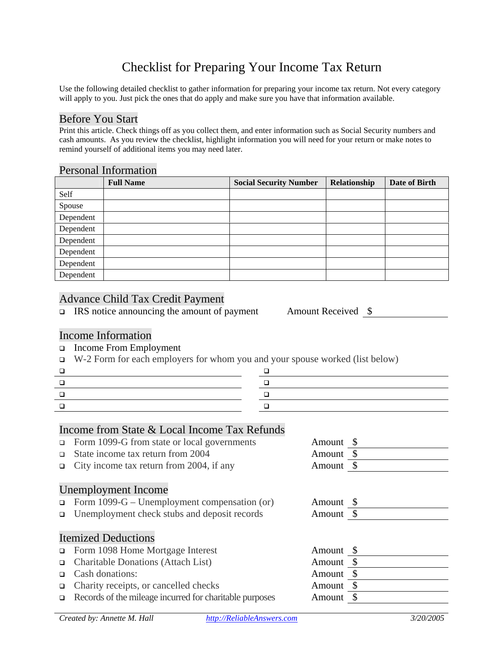# Checklist for Preparing Your Income Tax Return

Use the following detailed checklist to gather information for preparing your income tax return. Not every category will apply to you. Just pick the ones that do apply and make sure you have that information available.

# Before You Start

Print this article. Check things off as you collect them, and enter information such as Social Security numbers and cash amounts. As you review the checklist, highlight information you will need for your return or make notes to remind yourself of additional items you may need later.

## Personal Information

|           | <b>Full Name</b> | <b>Social Security Number</b> | Relationship | Date of Birth |
|-----------|------------------|-------------------------------|--------------|---------------|
| Self      |                  |                               |              |               |
| Spouse    |                  |                               |              |               |
| Dependent |                  |                               |              |               |
| Dependent |                  |                               |              |               |
| Dependent |                  |                               |              |               |
| Dependent |                  |                               |              |               |
| Dependent |                  |                               |              |               |
| Dependent |                  |                               |              |               |

## Advance Child Tax Credit Payment

 $\Box$  IRS notice announcing the amount of payment Amount Received \$

| <b>Amount Received</b> |
|------------------------|
|------------------------|

#### Income Information

□ Income From Employment

W-2 Form for each employers for whom you and your spouse worked (list below)

| ר |
|---|
|   |
|   |

|  | $j$ can be able worked (not below) |  |
|--|------------------------------------|--|
|  |                                    |  |
|  |                                    |  |
|  |                                    |  |

## Income from State & Local Income Tax Refunds

| $\Box$ | Form 1099-G from state or local governments             | Amount \$ |               |
|--------|---------------------------------------------------------|-----------|---------------|
| □      | State income tax return from 2004                       | Amount \$ |               |
| □      | City income tax return from 2004, if any                | Amount \$ |               |
|        |                                                         |           |               |
|        | Unemployment Income                                     |           |               |
| $\Box$ | Form $1099-G$ – Unemployment compensation (or)          | Amount \$ |               |
| o.     | Unemployment check stubs and deposit records            | Amount \$ |               |
|        |                                                         |           |               |
|        | <b>Itemized Deductions</b>                              |           |               |
| $\Box$ | Form 1098 Home Mortgage Interest                        | Amount \$ |               |
| $\Box$ | <b>Charitable Donations (Attach List)</b>               | Amount \$ |               |
|        | Cash donations:                                         | Amount    |               |
| $\Box$ | Charity receipts, or cancelled checks                   | Amount    | $\mathcal{S}$ |
| $\Box$ | Records of the mileage incurred for charitable purposes | Amount \$ |               |
|        |                                                         |           |               |